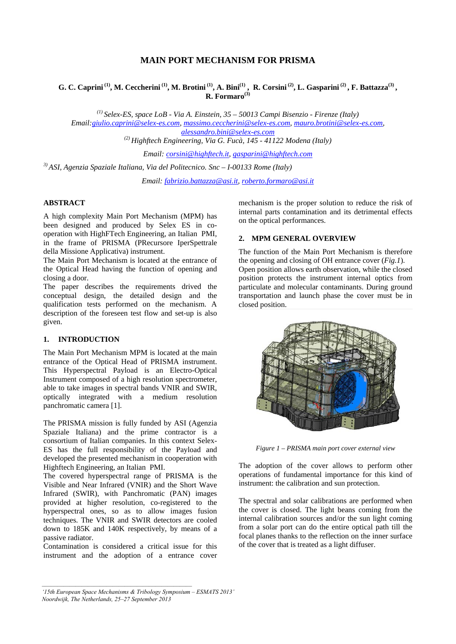# **MAIN PORT MECHANISM FOR PRISMA**

**G. C. Caprini (1), M. Ceccherini (1), M. Brotini (1), A. Bini(1) , R. Corsini (2), L. Gasparini (2) , F. Battazza(3) , R. Formaro(3)** 

*(1) Selex-ES, space LoB - Via A. Einstein, 35 – 50013 Campi Bisenzio - Firenze (Italy) Email[:giulio.caprini@selex-es.com,](mailto:giulio.caprini@selex-es.com) [massimo.ceccherini@selex-es.com,](mailto:massimo.ceccherini@selex-es.com) [mauro.brotini@selex-es.com,](mailto:mauro.brotini@selex-es.com) [alessandro.bini@selex-es.com](mailto:alessandro.bini@selex-es.com)*

*(2) Highftech Engineering, Via G. Fucà, 145 - 41122 Modena (Italy)*

*Email: [corsini@highftech.it,](mailto:corsini@highftech.it) [gasparini@highftech.com](mailto:gasparini@highftech.com)*

*3) ASI, Agenzia Spaziale Italiana, Via del Politecnico. Snc – I-00133 Rome (Italy)*

*Email: [fabrizio.battazza@asi.it,](mailto:fabrizio.battazza@asi.it) [roberto.formaro@asi.it](mailto:roberto.formaro@asi.it)*

### **ABSTRACT**

A high complexity Main Port Mechanism (MPM) has been designed and produced by Selex ES in cooperation with HighFTech Engineering, an Italian PMI, in the frame of PRISMA (PRecursore IperSpettrale della Missione Applicativa) instrument.

The Main Port Mechanism is located at the entrance of the Optical Head having the function of opening and closing a door.

The paper describes the requirements drived the conceptual design, the detailed design and the qualification tests performed on the mechanism. A description of the foreseen test flow and set-up is also given.

# **1. INTRODUCTION**

The Main Port Mechanism MPM is located at the main entrance of the Optical Head of PRISMA instrument. This Hyperspectral Payload is an Electro-Optical Instrument composed of a high resolution spectrometer, able to take images in spectral bands VNIR and SWIR, optically integrated with a medium resolution panchromatic camera [1].

The PRISMA mission is fully funded by ASI (Agenzia Spaziale Italiana) and the prime contractor is a consortium of Italian companies. In this context Selex-ES has the full responsibility of the Payload and developed the presented mechanism in cooperation with Highftech Engineering, an Italian PMI.

The covered hyperspectral range of PRISMA is the Visible and Near Infrared (VNIR) and the Short Wave Infrared (SWIR), with Panchromatic (PAN) images provided at higher resolution, co-registered to the hyperspectral ones, so as to allow images fusion techniques. The VNIR and SWIR detectors are cooled down to 185K and 140K respectively, by means of a passive radiator.

Contamination is considered a critical issue for this instrument and the adoption of a entrance cover mechanism is the proper solution to reduce the risk of internal parts contamination and its detrimental effects on the optical performances.

# **2. MPM GENERAL OVERVIEW**

The function of the Main Port Mechanism is therefore the opening and closing of OH entrance cover (*Fig.1*). Open position allows earth observation, while the closed position protects the instrument internal optics from particulate and molecular contaminants. During ground transportation and launch phase the cover must be in closed position.



*Figure 1 – PRISMA main port cover external view*

The adoption of the cover allows to perform other operations of fundamental importance for this kind of instrument: the calibration and sun protection.

The spectral and solar calibrations are performed when the cover is closed. The light beans coming from the internal calibration sources and/or the sun light coming from a solar port can do the entire optical path till the focal planes thanks to the reflection on the inner surface of the cover that is treated as a light diffuser.

*<sup>&#</sup>x27;15th European Space Mechanisms & Tribology Symposium – ESMATS 2013' Noordwijk, The Netherlands, 25–27 September 2013*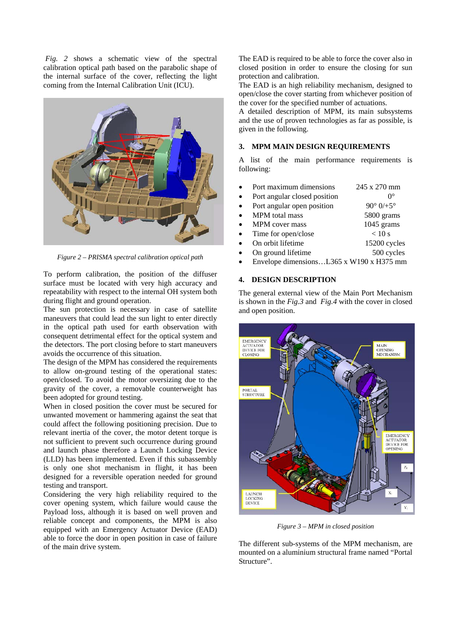*Fig. 2* shows a schematic view of the spectral calibration optical path based on the parabolic shape of the internal surface of the cover, reflecting the light coming from the Internal Calibration Unit (ICU).



*Figure 2 – PRISMA spectral calibration optical path*

To perform calibration, the position of the diffuser surface must be located with very high accuracy and repeatability with respect to the internal OH system both during flight and ground operation.

The sun protection is necessary in case of satellite maneuvers that could lead the sun light to enter directly in the optical path used for earth observation with consequent detrimental effect for the optical system and the detectors. The port closing before to start maneuvers avoids the occurrence of this situation.

The design of the MPM has considered the requirements to allow on-ground testing of the operational states: open/closed. To avoid the motor oversizing due to the gravity of the cover, a removable counterweight has been adopted for ground testing.

When in closed position the cover must be secured for unwanted movement or hammering against the seat that could affect the following positioning precision. Due to relevant inertia of the cover, the motor detent torque is not sufficient to prevent such occurrence during ground and launch phase therefore a Launch Locking Device (LLD) has been implemented. Even if this subassembly is only one shot mechanism in flight, it has been designed for a reversible operation needed for ground testing and transport.

Considering the very high reliability required to the cover opening system, which failure would cause the Payload loss, although it is based on well proven and reliable concept and components, the MPM is also equipped with an Emergency Actuator Device (EAD) able to force the door in open position in case of failure of the main drive system.

The EAD is required to be able to force the cover also in closed position in order to ensure the closing for sun protection and calibration.

The EAD is an high reliability mechanism, designed to open/close the cover starting from whichever position of the cover for the specified number of actuations.

A detailed description of MPM, its main subsystems and the use of proven technologies as far as possible, is given in the following.

### **3. MPM MAIN DESIGN REQUIREMENTS**

A list of the main performance requirements is following:

- Port maximum dimensions 245 x 270 mm Port angular closed position  $0^{\circ}$ <br>Port angular open position  $90^{\circ}$  0/+5° Port angular open position MPM total mass 5800 grams MPM cover mass 1045 grams Time for open/close  $<$  10 s On orbit lifetime 15200 cycles On ground lifetime 500 cycles
- Envelope dimensions…L365 x W190 x H375 mm

### **4. DESIGN DESCRIPTION**

The general external view of the Main Port Mechanism is shown in the *Fig.3* and *Fig.4* with the cover in closed and open position.



*Figure 3 – MPM in closed position*

The different sub-systems of the MPM mechanism, are mounted on a aluminium structural frame named "Portal Structure".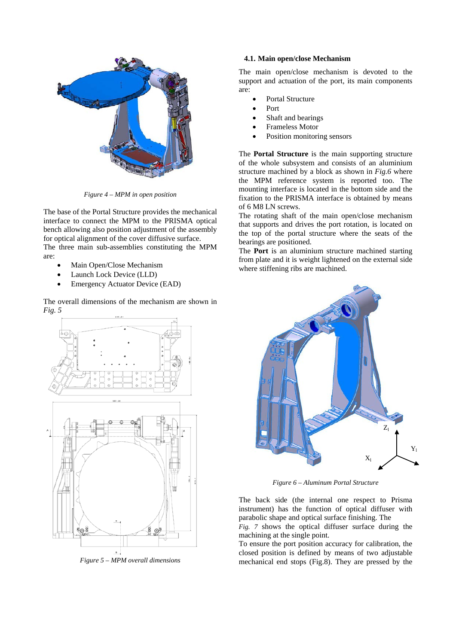

*Figure 4 – MPM in open position*

The base of the Portal Structure provides the mechanical interface to connect the MPM to the PRISMA optical bench allowing also position adjustment of the assembly for optical alignment of the cover diffusive surface. The three main sub-assemblies constituting the MPM are:

- Main Open/Close Mechanism
- Launch Lock Device (LLD)
- Emergency Actuator Device (EAD)

The overall dimensions of the mechanism are shown in *Fig. 5*



*Figure 5 – MPM overall dimensions*

#### **4.1. Main open/close Mechanism**

The main open/close mechanism is devoted to the support and actuation of the port, its main components are:

- Portal Structure
- Port
- Shaft and bearings
- Frameless Motor
- Position monitoring sensors

The **Portal Structure** is the main supporting structure of the whole subsystem and consists of an aluminium structure machined by a block as shown in *Fig.6* where the MPM reference system is reported too. The mounting interface is located in the bottom side and the fixation to the PRISMA interface is obtained by means of 6 M8 LN screws.

The rotating shaft of the main open/close mechanism that supports and drives the port rotation, is located on the top of the portal structure where the seats of the bearings are positioned.

The **Port** is an aluminium structure machined starting from plate and it is weight lightened on the external side where stiffening ribs are machined.



*Figure 6 – Aluminum Portal Structure*

The back side (the internal one respect to Prisma instrument) has the function of optical diffuser with parabolic shape and optical surface finishing. The

*[Fig. 7](#page-3-0)* shows the optical diffuser surface during the machining at the single point.

To ensure the port position accuracy for calibration, the closed position is defined by means of two adjustable mechanical end stops (Fig.8). They are pressed by the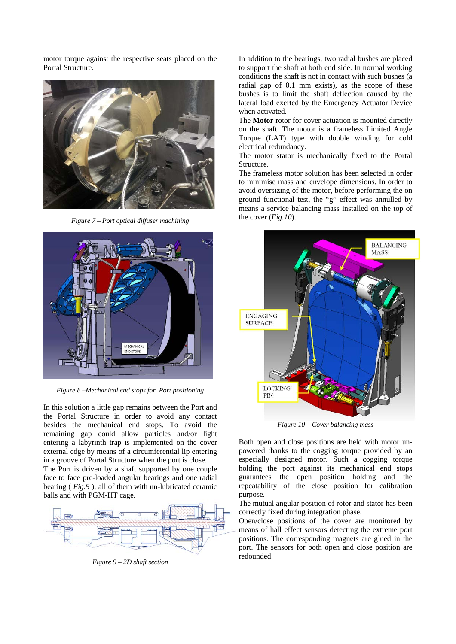motor torque against the respective seats placed on the Portal Structure.



*Figure 7 – Port optical diffuser machining*

<span id="page-3-0"></span>

*Figure 8 –Mechanical end stops for Port positioning*

In this solution a little gap remains between the Port and the Portal Structure in order to avoid any contact besides the mechanical end stops. To avoid the remaining gap could allow particles and/or light entering a labyrinth trap is implemented on the cover external edge by means of a circumferential lip entering in a groove of Portal Structure when the port is close.

The Port is driven by a shaft supported by one couple face to face pre-loaded angular bearings and one radial bearing ( *Fig.9* ), all of them with un-lubricated ceramic balls and with PGM-HT cage.



*Figure 9 – 2D shaft section*

In addition to the bearings, two radial bushes are placed to support the shaft at both end side. In normal working conditions the shaft is not in contact with such bushes (a radial gap of 0.1 mm exists), as the scope of these bushes is to limit the shaft deflection caused by the lateral load exerted by the Emergency Actuator Device when activated.

The **Motor** rotor for cover actuation is mounted directly on the shaft. The motor is a frameless Limited Angle Torque (LAT) type with double winding for cold electrical redundancy.

The motor stator is mechanically fixed to the Portal Structure.

The frameless motor solution has been selected in order to minimise mass and envelope dimensions. In order to avoid oversizing of the motor, before performing the on ground functional test, the "g" effect was annulled by means a service balancing mass installed on the top of the cover (*Fig.10*).



*Figure 10 – Cover balancing mass*

Both open and close positions are held with motor unpowered thanks to the cogging torque provided by an especially designed motor. Such a cogging torque holding the port against its mechanical end stops guarantees the open position holding and the repeatability of the close position for calibration purpose.

The mutual angular position of rotor and stator has been correctly fixed during integration phase.

Open/close positions of the cover are monitored by means of hall effect sensors detecting the extreme port positions. The corresponding magnets are glued in the port. The sensors for both open and close position are redounded.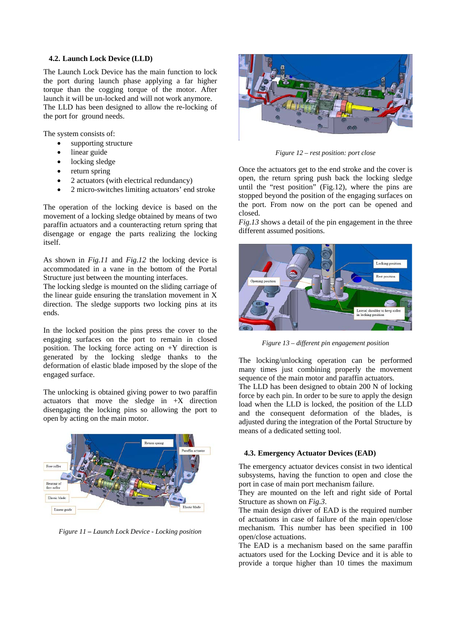### **4.2. Launch Lock Device (LLD)**

The Launch Lock Device has the main function to lock the port during launch phase applying a far higher torque than the cogging torque of the motor. After launch it will be un-locked and will not work anymore. The LLD has been designed to allow the re-locking of the port for ground needs.

The system consists of:

- supporting structure
- linear guide
- locking sledge
- return spring
- 2 actuators (with electrical redundancy)
- 2 micro-switches limiting actuators' end stroke

The operation of the locking device is based on the movement of a locking sledge obtained by means of two paraffin actuators and a counteracting return spring that disengage or engage the parts realizing the locking itself.

As shown in *Fig.11* and *Fig.12* the locking device is accommodated in a vane in the bottom of the Portal Structure just between the mounting interfaces.

The locking sledge is mounted on the sliding carriage of the linear guide ensuring the translation movement in X direction. The sledge supports two locking pins at its ends.

In the locked position the pins press the cover to the engaging surfaces on the port to remain in closed position. The locking force acting on  $+Y$  direction is generated by the locking sledge thanks to the deformation of elastic blade imposed by the slope of the engaged surface.

The unlocking is obtained giving power to two paraffin actuators that move the sledge in +X direction disengaging the locking pins so allowing the port to open by acting on the main motor.



*Figure 11 – Launch Lock Device - Locking position*



*Figure 12 – rest position: port close*

Once the actuators get to the end stroke and the cover is open, the return spring push back the locking sledge until the "rest position" (Fig.12), where the pins are stopped beyond the position of the engaging surfaces on the port. From now on the port can be opened and closed.

*Fig.13* shows a detail of the pin engagement in the three different assumed positions.



*Figure 13 – different pin engagement position*

The locking/unlocking operation can be performed many times just combining properly the movement sequence of the main motor and paraffin actuators.

The LLD has been designed to obtain 200 N of locking force by each pin. In order to be sure to apply the design load when the LLD is locked, the position of the LLD and the consequent deformation of the blades, is adjusted during the integration of the Portal Structure by means of a dedicated setting tool.

#### **4.3. Emergency Actuator Devices (EAD)**

The emergency actuator devices consist in two identical subsystems, having the function to open and close the port in case of main port mechanism failure.

They are mounted on the left and right side of Portal Structure as shown on *Fig.3*.

The main design driver of EAD is the required number of actuations in case of failure of the main open/close mechanism. This number has been specified in 100 open/close actuations.

The EAD is a mechanism based on the same paraffin actuators used for the Locking Device and it is able to provide a torque higher than 10 times the maximum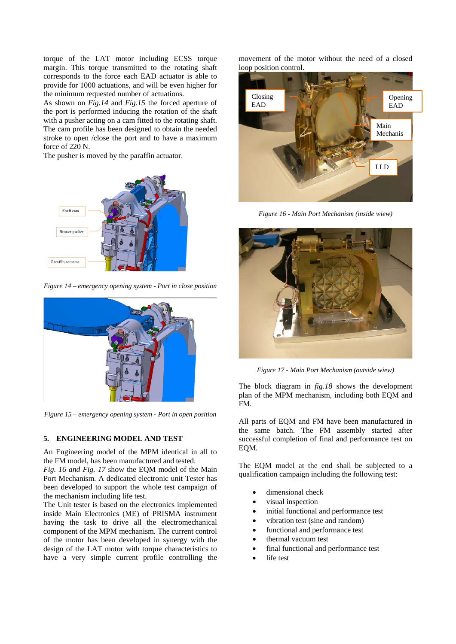torque of the LAT motor including ECSS torque margin. This torque transmitted to the rotating shaft corresponds to the force each EAD actuator is able to provide for 1000 actuations, and will be even higher for the minimum requested number of actuations.

As shown on *Fig.14* and *Fig.15* the forced aperture of the port is performed inducing the rotation of the shaft with a pusher acting on a cam fitted to the rotating shaft. The cam profile has been designed to obtain the needed stroke to open /close the port and to have a maximum force of 220 N.

The pusher is moved by the paraffin actuator.



*Figure 14 – emergency opening system - Port in close position*



*Figure 15 – emergency opening system - Port in open position* 

# **5. ENGINEERING MODEL AND TEST**

An Engineering model of the MPM identical in all to the FM model, has been manufactured and tested.

*Fig. 16 and Fig. 17* show the EQM model of the Main Port Mechanism. A dedicated electronic unit Tester has been developed to support the whole test campaign of the mechanism including life test.

The Unit tester is based on the electronics implemented inside Main Electronics (ME) of PRISMA instrument having the task to drive all the electromechanical component of the MPM mechanism. The current control of the motor has been developed in synergy with the design of the LAT motor with torque characteristics to have a very simple current profile controlling the movement of the motor without the need of a closed loop position control.



*Figure 16 - Main Port Mechanism (inside wiew)*



*Figure 17 - Main Port Mechanism (outside wiew)*

The block diagram in *fig.18* shows the development plan of the MPM mechanism, including both EQM and FM.

All parts of EQM and FM have been manufactured in the same batch. The FM assembly started after successful completion of final and performance test on EQM.

The EQM model at the end shall be subjected to a qualification campaign including the following test:

- dimensional check
- visual inspection
- initial functional and performance test
- vibration test (sine and random)
- functional and performance test
- thermal vacuum test
- final functional and performance test
- life test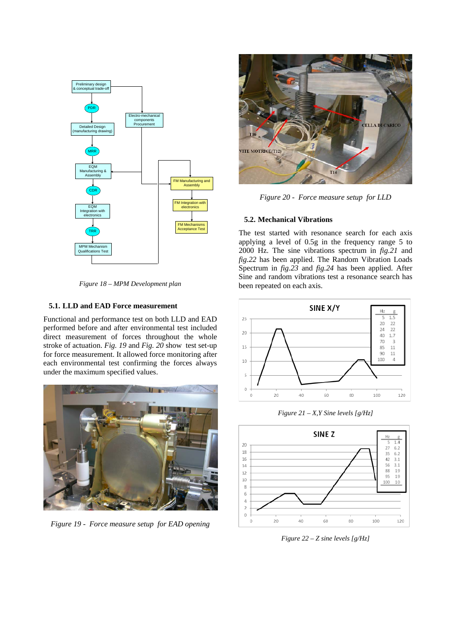

*Figure 18 – MPM Development plan*

# **5.1. LLD and EAD Force measurement**

Functional and performance test on both LLD and EAD performed before and after environmental test included direct measurement of forces throughout the whole stroke of actuation. *Fig. 19* and *Fig. 20* show test set-up for force measurement. It allowed force monitoring after each environmental test confirming the forces always under the maximum specified values.



*Figure 19 - Force measure setup for EAD opening*



*Figure 20 - Force measure setup for LLD*

### **5.2. Mechanical Vibrations**

The test started with resonance search for each axis applying a level of 0.5g in the frequency range 5 to 2000 Hz. The sine vibrations spectrum in *fig.21* and *fig.22* has been applied. The Random Vibration Loads Spectrum in *fig.23* and *fig.24* has been applied. After Sine and random vibrations test a resonance search has been repeated on each axis.



*Figure 21 – X,Y Sine levels [g/Hz]*



*Figure 22 – Z sine levels [g/Hz]*